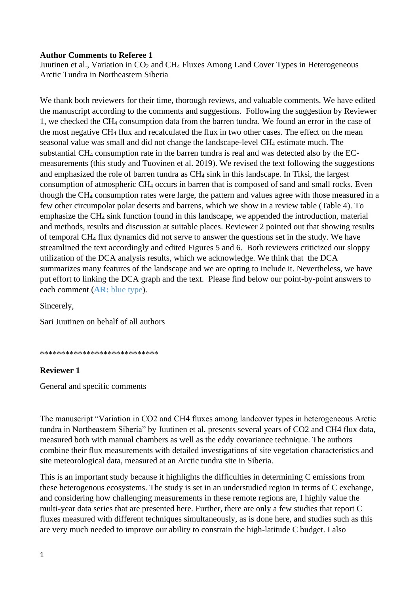### **Author Comments to Referee 1**

Juutinen et al., Variation in CO<sub>2</sub> and CH<sub>4</sub> Fluxes Among Land Cover Types in Heterogeneous Arctic Tundra in Northeastern Siberia

We thank both reviewers for their time, thorough reviews, and valuable comments. We have edited the manuscript according to the comments and suggestions. Following the suggestion by Reviewer 1, we checked the CH<sup>4</sup> consumption data from the barren tundra. We found an error in the case of the most negative CH<sup>4</sup> flux and recalculated the flux in two other cases. The effect on the mean seasonal value was small and did not change the landscape-level CH<sup>4</sup> estimate much. The substantial CH<sup>4</sup> consumption rate in the barren tundra is real and was detected also by the ECmeasurements (this study and Tuovinen et al. 2019). We revised the text following the suggestions and emphasized the role of barren tundra as CH<sup>4</sup> sink in this landscape. In Tiksi, the largest consumption of atmospheric CH<sup>4</sup> occurs in barren that is composed of sand and small rocks. Even though the CH<sup>4</sup> consumption rates were large, the pattern and values agree with those measured in a few other circumpolar polar deserts and barrens, which we show in a review table (Table 4). To emphasize the CH<sup>4</sup> sink function found in this landscape, we appended the introduction, material and methods, results and discussion at suitable places. Reviewer 2 pointed out that showing results of temporal CH<sup>4</sup> flux dynamics did not serve to answer the questions set in the study. We have streamlined the text accordingly and edited Figures 5 and 6. Both reviewers criticized our sloppy utilization of the DCA analysis results, which we acknowledge. We think that the DCA summarizes many features of the landscape and we are opting to include it. Nevertheless, we have put effort to linking the DCA graph and the text. Please find below our point-by-point answers to each comment (**AR:** blue type).

Sincerely,

Sari Juutinen on behalf of all authors

\*\*\*\*\*\*\*\*\*\*\*\*\*\*\*\*\*\*\*\*\*\*\*\*\*\*\*\*

#### **Reviewer 1**

General and specific comments

The manuscript "Variation in CO2 and CH4 fluxes among landcover types in heterogeneous Arctic tundra in Northeastern Siberia" by Juutinen et al. presents several years of CO2 and CH4 flux data, measured both with manual chambers as well as the eddy covariance technique. The authors combine their flux measurements with detailed investigations of site vegetation characteristics and site meteorological data, measured at an Arctic tundra site in Siberia.

This is an important study because it highlights the difficulties in determining C emissions from these heterogenous ecosystems. The study is set in an understudied region in terms of C exchange, and considering how challenging measurements in these remote regions are, I highly value the multi-year data series that are presented here. Further, there are only a few studies that report C fluxes measured with different techniques simultaneously, as is done here, and studies such as this are very much needed to improve our ability to constrain the high-latitude C budget. I also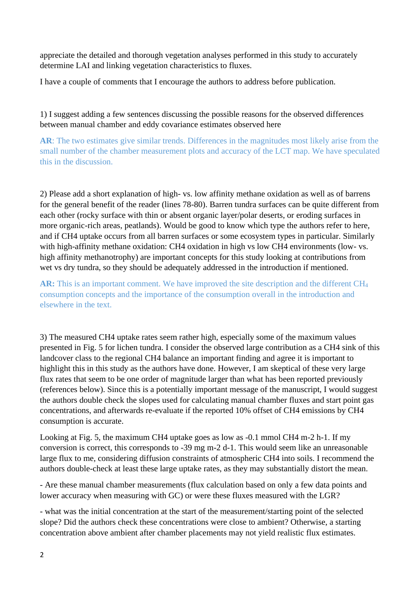appreciate the detailed and thorough vegetation analyses performed in this study to accurately determine LAI and linking vegetation characteristics to fluxes.

I have a couple of comments that I encourage the authors to address before publication.

1) I suggest adding a few sentences discussing the possible reasons for the observed differences between manual chamber and eddy covariance estimates observed here

**AR**: The two estimates give similar trends. Differences in the magnitudes most likely arise from the small number of the chamber measurement plots and accuracy of the LCT map. We have speculated this in the discussion.

2) Please add a short explanation of high- vs. low affinity methane oxidation as well as of barrens for the general benefit of the reader (lines 78-80). Barren tundra surfaces can be quite different from each other (rocky surface with thin or absent organic layer/polar deserts, or eroding surfaces in more organic-rich areas, peatlands). Would be good to know which type the authors refer to here, and if CH4 uptake occurs from all barren surfaces or some ecosystem types in particular. Similarly with high-affinity methane oxidation: CH4 oxidation in high vs low CH4 environments (low- vs. high affinity methanotrophy) are important concepts for this study looking at contributions from wet vs dry tundra, so they should be adequately addressed in the introduction if mentioned.

**AR:** This is an important comment. We have improved the site description and the different CH<sup>4</sup> consumption concepts and the importance of the consumption overall in the introduction and elsewhere in the text.

3) The measured CH4 uptake rates seem rather high, especially some of the maximum values presented in Fig. 5 for lichen tundra. I consider the observed large contribution as a CH4 sink of this landcover class to the regional CH4 balance an important finding and agree it is important to highlight this in this study as the authors have done. However, I am skeptical of these very large flux rates that seem to be one order of magnitude larger than what has been reported previously (references below). Since this is a potentially important message of the manuscript, I would suggest the authors double check the slopes used for calculating manual chamber fluxes and start point gas concentrations, and afterwards re-evaluate if the reported 10% offset of CH4 emissions by CH4 consumption is accurate.

Looking at Fig. 5, the maximum CH4 uptake goes as low as -0.1 mmol CH4 m-2 h-1. If my conversion is correct, this corresponds to -39 mg m-2 d-1. This would seem like an unreasonable large flux to me, considering diffusion constraints of atmospheric CH4 into soils. I recommend the authors double-check at least these large uptake rates, as they may substantially distort the mean.

- Are these manual chamber measurements (flux calculation based on only a few data points and lower accuracy when measuring with GC) or were these fluxes measured with the LGR?

- what was the initial concentration at the start of the measurement/starting point of the selected slope? Did the authors check these concentrations were close to ambient? Otherwise, a starting concentration above ambient after chamber placements may not yield realistic flux estimates.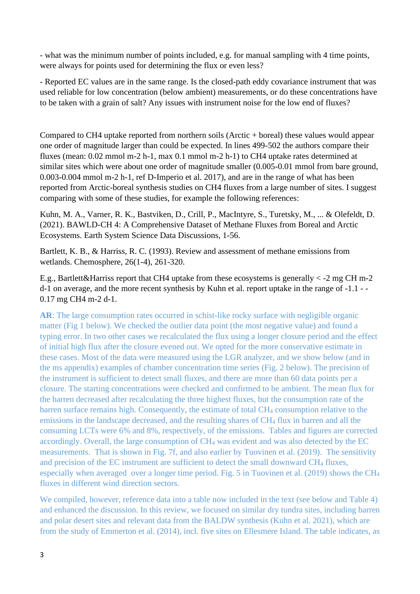- what was the minimum number of points included, e.g. for manual sampling with 4 time points, were always for points used for determining the flux or even less?

- Reported EC values are in the same range. Is the closed-path eddy covariance instrument that was used reliable for low concentration (below ambient) measurements, or do these concentrations have to be taken with a grain of salt? Any issues with instrument noise for the low end of fluxes?

Compared to CH4 uptake reported from northern soils (Arctic + boreal) these values would appear one order of magnitude larger than could be expected. In lines 499-502 the authors compare their fluxes (mean: 0.02 mmol m-2 h-1, max 0.1 mmol m-2 h-1) to CH4 uptake rates determined at similar sites which were about one order of magnitude smaller (0.005-0.01 mmol from bare ground, 0.003-0.004 mmol m-2 h-1, ref D-Imperio et al. 2017), and are in the range of what has been reported from Arctic-boreal synthesis studies on CH4 fluxes from a large number of sites. I suggest comparing with some of these studies, for example the following references:

Kuhn, M. A., Varner, R. K., Bastviken, D., Crill, P., MacIntyre, S., Turetsky, M., ... & Olefeldt, D. (2021). BAWLD-CH 4: A Comprehensive Dataset of Methane Fluxes from Boreal and Arctic Ecosystems. Earth System Science Data Discussions, 1-56.

Bartlett, K. B., & Harriss, R. C. (1993). Review and assessment of methane emissions from wetlands. Chemosphere, 26(1-4), 261-320.

E.g., Bartlett&Harriss report that CH4 uptake from these ecosystems is generally < -2 mg CH m-2 d-1 on average, and the more recent synthesis by Kuhn et al. report uptake in the range of -1.1 - - 0.17 mg CH4 m-2 d-1.

**AR**: The large consumption rates occurred in schist-like rocky surface with negligible organic matter (Fig 1 below). We checked the outlier data point (the most negative value) and found a typing error. In two other cases we recalculated the flux using a longer closure period and the effect of initial high flux after the closure evened out. We opted for the more conservative estimate in these cases. Most of the data were measured using the LGR analyzer, and we show below (and in the ms appendix) examples of chamber concentration time series (Fig. 2 below). The precision of the instrument is sufficient to detect small fluxes, and there are more than 60 data points per a closure. The starting concentrations were checked and confirmed to be ambient. The mean flux for the barren decreased after recalculating the three highest fluxes, but the consumption rate of the barren surface remains high. Consequently, the estimate of total CH<sup>4</sup> consumption relative to the emissions in the landscape decreased, and the resulting shares of CH<sup>4</sup> flux in barren and all the consuming LCTs were 6% and 8%, respectively, of the emissions. Tables and figures are corrected accordingly. Overall, the large consumption of CH<sup>4</sup> was evident and was also detected by the EC measurements. That is shown in Fig. 7f, and also earlier by Tuovinen et al. (2019). The sensitivity and precision of the EC instrument are sufficient to detect the small downward CH<sub>4</sub> fluxes, especially when averaged over a longer time period. Fig. 5 in Tuovinen et al. (2019) shows the CH<sup>4</sup> fluxes in different wind direction sectors.

We compiled, however, reference data into a table now included in the text (see below and Table 4) and enhanced the discussion. In this review, we focused on similar dry tundra sites, including barren and polar desert sites and relevant data from the BALDW synthesis (Kuhn et al. 2021), which are from the study of Emmerton et al. (2014), incl. five sites on Ellesmere Island. The table indicates, as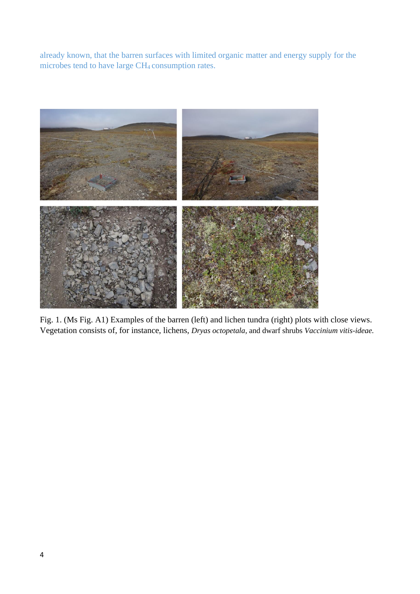already known, that the barren surfaces with limited organic matter and energy supply for the microbes tend to have large CH4 consumption rates.



Fig. 1. (Ms Fig. A1) Examples of the barren (left) and lichen tundra (right) plots with close views. Vegetation consists of, for instance, lichens, *Dryas octopetala,* and dwarf shrubs *Vaccinium vitis-ideae.*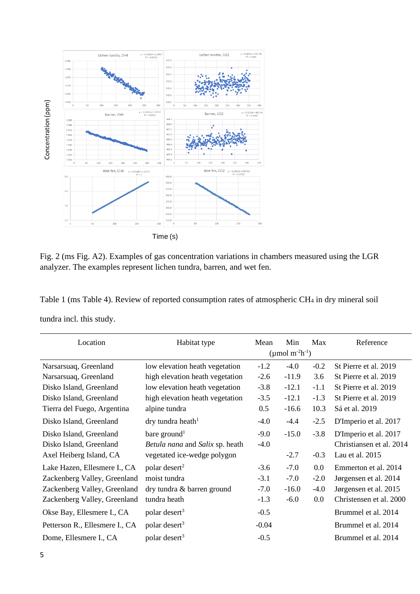

Fig. 2 (ms Fig. A2). Examples of gas concentration variations in chambers measured using the LGR analyzer. The examples represent lichen tundra, barren, and wet fen.

Table 1 (ms Table 4). Review of reported consumption rates of atmospheric CH<sup>4</sup> in dry mineral soil tundra incl. this study.

| Location                       | Habitat type                           | Mean                                    | Min     | Max     | Reference                |
|--------------------------------|----------------------------------------|-----------------------------------------|---------|---------|--------------------------|
|                                |                                        | (µmol m <sup>-2</sup> h <sup>-1</sup> ) |         |         |                          |
| Narsarsuaq, Greenland          | low elevation heath vegetation         | $-1.2$                                  | $-4.0$  | $-0.2$  | St Pierre et al. 2019    |
| Narsarsuaq, Greenland          | high elevation heath vegetation        | $-2.6$                                  | $-11.9$ | 3.6     | St Pierre et al. 2019    |
| Disko Island, Greenland        | low elevation heath vegetation         | $-3.8$                                  | $-12.1$ | $-1.1$  | St Pierre et al. 2019    |
| Disko Island, Greenland        | high elevation heath vegetation        | $-3.5$                                  | $-12.1$ | $-1.3$  | St Pierre et al. 2019    |
| Tierra del Fuego, Argentina    | alpine tundra                          | 0.5                                     | $-16.6$ | 10.3    | Sá et al. 2019           |
| Disko Island, Greenland        | $\text{dry}$ tundra heath <sup>1</sup> | $-4.0$                                  | $-4.4$  | $-2.5$  | D'Imperio et al. 2017    |
| Disko Island, Greenland        | bare ground <sup>1</sup>               | $-9.0$                                  | $-15.0$ | $-3.8$  | D'Imperio et al. 2017    |
| Disko Island, Greenland        | Betula nana and Salix sp. heath        | $-4.0$                                  |         |         | Christiansen et al. 2014 |
| Axel Heiberg Island, CA        | vegetated ice-wedge polygon            |                                         | $-2.7$  | $-0.3$  | Lau et al. $2015$        |
| Lake Hazen, Ellesmere I., CA   | polar desert <sup>2</sup>              | $-3.6$                                  | $-7.0$  | 0.0     | Emmerton et al. 2014     |
| Zackenberg Valley, Greenland   | moist tundra                           | $-3.1$                                  | $-7.0$  | $-2.0$  | Jørgensen et al. 2014    |
| Zackenberg Valley, Greenland   | dry tundra & barren ground             | $-7.0$                                  | $-16.0$ | $-4.0$  | Jørgensen et al. 2015    |
| Zackenberg Valley, Greenland   | tundra heath                           | $-1.3$                                  | $-6.0$  | $0.0\,$ | Christensen et al. 2000  |
| Okse Bay, Ellesmere I., CA     | polar desert <sup>3</sup>              | $-0.5$                                  |         |         | Brummel et al. 2014      |
| Petterson R., Ellesmere I., CA | polar desert <sup>3</sup>              | $-0.04$                                 |         |         | Brummel et al. 2014      |
| Dome, Ellesmere I., CA         | polar desert <sup>3</sup>              | $-0.5$                                  |         |         | Brummel et al. 2014      |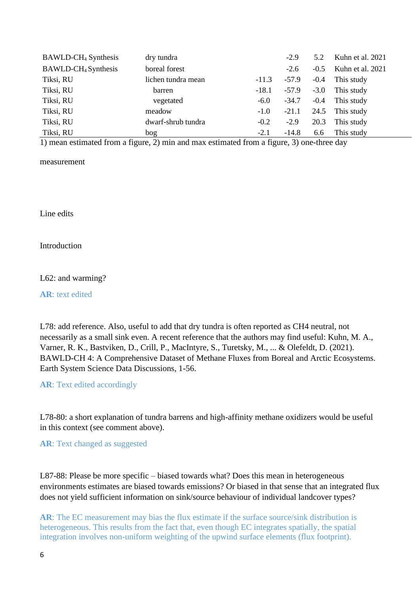| BAWLD-CH <sub>4</sub> Synthesis | dry tundra         |         | $-2.9$  | 5.2    | Kuhn et al. 2021        |
|---------------------------------|--------------------|---------|---------|--------|-------------------------|
| BAWLD-CH <sub>4</sub> Synthesis | boreal forest      |         | $-2.6$  |        | $-0.5$ Kuhn et al. 2021 |
| Tiksi, RU                       | lichen tundra mean | $-11.3$ | $-57.9$ | $-0.4$ | This study              |
| Tiksi, RU                       | barren             | $-18.1$ | $-57.9$ | $-3.0$ | This study              |
| Tiksi, RU                       | vegetated          | $-6.0$  | $-34.7$ | $-0.4$ | This study              |
| Tiksi, RU                       | meadow             | $-1.0$  | $-21.1$ |        | 24.5 This study         |
| Tiksi, RU                       | dwarf-shrub tundra | $-0.2$  | $-2.9$  | 20.3   | This study              |
| Tiksi, RU                       | bog                | $-2.1$  | $-14.8$ | 6.6    | This study              |

1) mean estimated from a figure, 2) min and max estimated from a figure, 3) one-three day

measurement

Line edits

Introduction

L62: and warming?

**AR**: text edited

L78: add reference. Also, useful to add that dry tundra is often reported as CH4 neutral, not necessarily as a small sink even. A recent reference that the authors may find useful: Kuhn, M. A., Varner, R. K., Bastviken, D., Crill, P., MacIntyre, S., Turetsky, M., ... & Olefeldt, D. (2021). BAWLD-CH 4: A Comprehensive Dataset of Methane Fluxes from Boreal and Arctic Ecosystems. Earth System Science Data Discussions, 1-56.

**AR**: Text edited accordingly

L78-80: a short explanation of tundra barrens and high-affinity methane oxidizers would be useful in this context (see comment above).

**AR**: Text changed as suggested

L87-88: Please be more specific – biased towards what? Does this mean in heterogeneous environments estimates are biased towards emissions? Or biased in that sense that an integrated flux does not yield sufficient information on sink/source behaviour of individual landcover types?

**AR**: The EC measurement may bias the flux estimate if the surface source/sink distribution is heterogeneous. This results from the fact that, even though EC integrates spatially, the spatial integration involves non-uniform weighting of the upwind surface elements (flux footprint).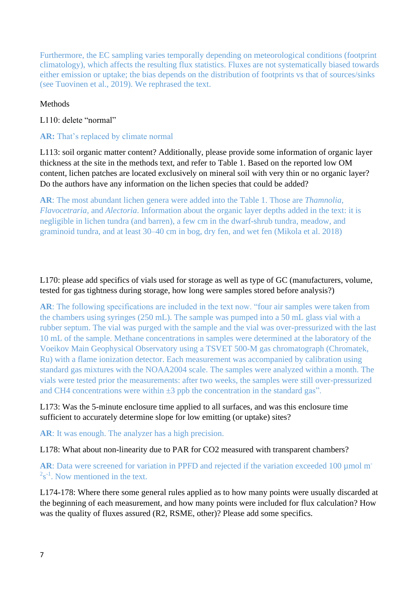Furthermore, the EC sampling varies temporally depending on meteorological conditions (footprint climatology), which affects the resulting flux statistics. Fluxes are not systematically biased towards either emission or uptake; the bias depends on the distribution of footprints vs that of sources/sinks (see Tuovinen et al., 2019). We rephrased the text.

### Methods

### L110: delete "normal"

### **AR:** That's replaced by climate normal

L113: soil organic matter content? Additionally, please provide some information of organic layer thickness at the site in the methods text, and refer to Table 1. Based on the reported low OM content, lichen patches are located exclusively on mineral soil with very thin or no organic layer? Do the authors have any information on the lichen species that could be added?

**AR**: The most abundant lichen genera were added into the Table 1. Those are *Thamnolia*, *Flavocetraria,* and *Alectoria*. Information about the organic layer depths added in the text: it is negligible in lichen tundra (and barren), a few cm in the dwarf-shrub tundra, meadow, and graminoid tundra, and at least 30–40 cm in bog, dry fen, and wet fen (Mikola et al. 2018)

# L170: please add specifics of vials used for storage as well as type of GC (manufacturers, volume, tested for gas tightness during storage, how long were samples stored before analysis?)

**AR**: The following specifications are included in the text now. "four air samples were taken from the chambers using syringes (250 mL). The sample was pumped into a 50 mL glass vial with a rubber septum. The vial was purged with the sample and the vial was over-pressurized with the last 10 mL of the sample. Methane concentrations in samples were determined at the laboratory of the Voeikov Main Geophysical Observatory using a TSVET 500-M gas chromatograph (Chromatek, Ru) with a flame ionization detector. Each measurement was accompanied by calibration using standard gas mixtures with the NOAA2004 scale. The samples were analyzed within a month. The vials were tested prior the measurements: after two weeks, the samples were still over-pressurized and CH4 concentrations were within  $\pm 3$  ppb the concentration in the standard gas".

## L173: Was the 5-minute enclosure time applied to all surfaces, and was this enclosure time sufficient to accurately determine slope for low emitting (or uptake) sites?

**AR**: It was enough. The analyzer has a high precision.

L178: What about non-linearity due to PAR for CO2 measured with transparent chambers?

AR: Data were screened for variation in PPFD and rejected if the variation exceeded 100 µmol m<sup>-</sup>  $2s^{-1}$ . Now mentioned in the text.

L174-178: Where there some general rules applied as to how many points were usually discarded at the beginning of each measurement, and how many points were included for flux calculation? How was the quality of fluxes assured (R2, RSME, other)? Please add some specifics.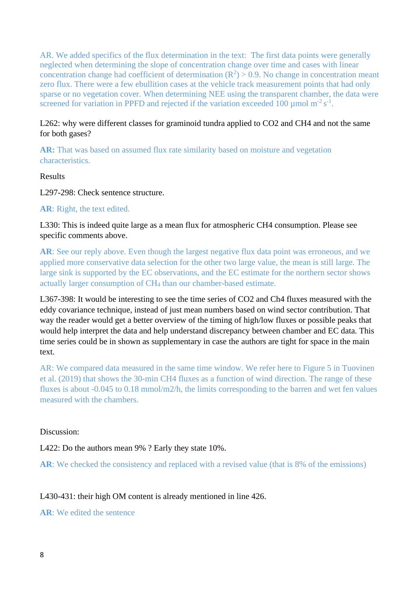AR. We added specifics of the flux determination in the text: The first data points were generally neglected when determining the slope of concentration change over time and cases with linear concentration change had coefficient of determination  $(R^2) > 0.9$ . No change in concentration meant zero flux. There were a few ebullition cases at the vehicle track measurement points that had only sparse or no vegetation cover. When determining NEE using the transparent chamber, the data were screened for variation in PPFD and rejected if the variation exceeded 100  $\mu$ mol m<sup>-2</sup> s<sup>-1</sup>.

# L262: why were different classes for graminoid tundra applied to CO2 and CH4 and not the same for both gases?

**AR:** That was based on assumed flux rate similarity based on moisture and vegetation characteristics.

### Results

L297-298: Check sentence structure.

## **AR**: Right, the text edited.

## L330: This is indeed quite large as a mean flux for atmospheric CH4 consumption. Please see specific comments above.

AR: See our reply above. Even though the largest negative flux data point was erroneous, and we applied more conservative data selection for the other two large value, the mean is still large. The large sink is supported by the EC observations, and the EC estimate for the northern sector shows actually larger consumption of CH<sup>4</sup> than our chamber-based estimate.

L367-398: It would be interesting to see the time series of CO2 and Ch4 fluxes measured with the eddy covariance technique, instead of just mean numbers based on wind sector contribution. That way the reader would get a better overview of the timing of high/low fluxes or possible peaks that would help interpret the data and help understand discrepancy between chamber and EC data. This time series could be in shown as supplementary in case the authors are tight for space in the main text.

AR: We compared data measured in the same time window. We refer here to Figure 5 in Tuovinen et al. (2019) that shows the 30-min CH4 fluxes as a function of wind direction. The range of these fluxes is about -0.045 to 0.18 mmol/m2/h, the limits corresponding to the barren and wet fen values measured with the chambers.

#### Discussion:

L422: Do the authors mean 9% ? Early they state 10%.

**AR**: We checked the consistency and replaced with a revised value (that is 8% of the emissions)

## L430-431: their high OM content is already mentioned in line 426.

## **AR**: We edited the sentence